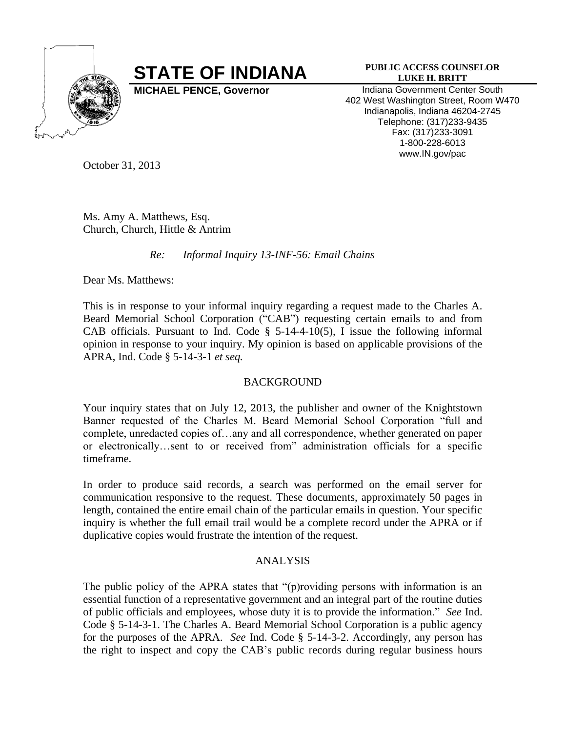

## **STATE OF INDIANA PUBLIC ACCESS COUNSELOR**

## **LUKE H. BRITT**

**MICHAEL PENCE, Governor Indiana Government Center South** 402 West Washington Street, Room W470 Indianapolis, Indiana 46204-2745 Telephone: (317)233-9435 Fax: (317)233-3091 1-800-228-6013 www.IN.gov/pac

October 31, 2013

Ms. Amy A. Matthews, Esq. Church, Church, Hittle & Antrim

*Re: Informal Inquiry 13-INF-56: Email Chains* 

Dear Ms. Matthews:

This is in response to your informal inquiry regarding a request made to the Charles A. Beard Memorial School Corporation ("CAB") requesting certain emails to and from CAB officials. Pursuant to Ind. Code  $\S$  5-14-4-10(5), I issue the following informal opinion in response to your inquiry. My opinion is based on applicable provisions of the APRA, Ind. Code § 5-14-3-1 *et seq.*

## BACKGROUND

Your inquiry states that on July 12, 2013, the publisher and owner of the Knightstown Banner requested of the Charles M. Beard Memorial School Corporation "full and complete, unredacted copies of…any and all correspondence, whether generated on paper or electronically…sent to or received from" administration officials for a specific timeframe.

In order to produce said records, a search was performed on the email server for communication responsive to the request. These documents, approximately 50 pages in length, contained the entire email chain of the particular emails in question. Your specific inquiry is whether the full email trail would be a complete record under the APRA or if duplicative copies would frustrate the intention of the request.

## ANALYSIS

The public policy of the APRA states that "(p)roviding persons with information is an essential function of a representative government and an integral part of the routine duties of public officials and employees, whose duty it is to provide the information." *See* Ind. Code § 5-14-3-1. The Charles A. Beard Memorial School Corporation is a public agency for the purposes of the APRA. *See* Ind. Code § 5-14-3-2. Accordingly, any person has the right to inspect and copy the CAB's public records during regular business hours